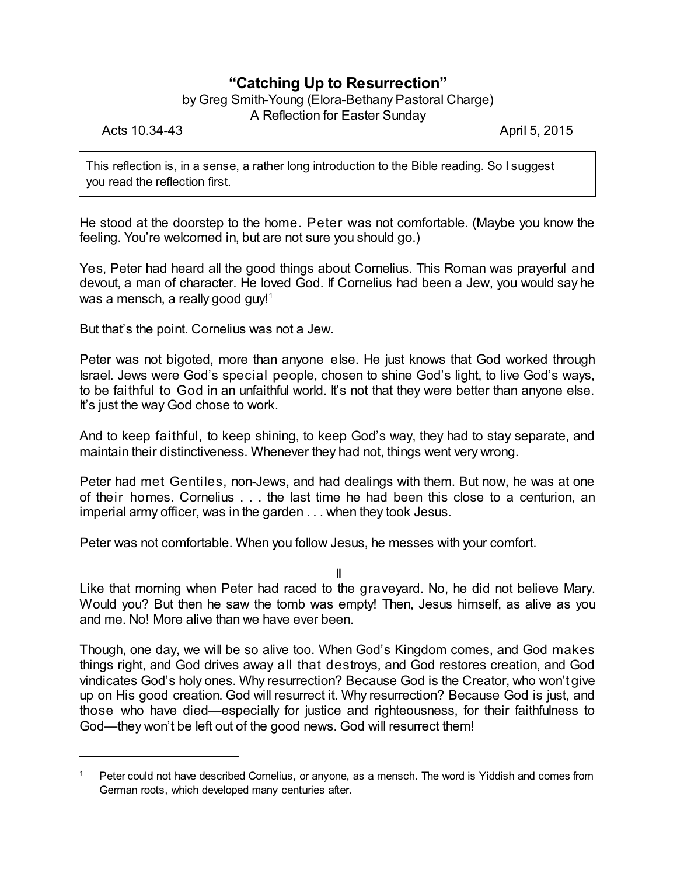## **"Catching Up to Resurrection"**

## by Greg Smith-Young (Elora-Bethany Pastoral Charge)

A Reflection for Easter Sunday

Acts 10.34-43 **April 5, 2015** 

This reflection is, in a sense, a rather long introduction to the Bible reading. So I suggest you read the reflection first.

He stood at the doorstep to the home. Peter was not comfortable. (Maybe you know the feeling. You're welcomed in, but are not sure you should go.)

Yes, Peter had heard all the good things about Cornelius. This Roman was prayerful and devout, a man of character. He loved God. If Cornelius had been a Jew, you would say he was a mensch, a really good guy! 1

But that's the point. Cornelius was not a Jew.

Peter was not bigoted, more than anyone else. He just knows that God worked through Israel. Jews were God's special people, chosen to shine God's light, to live God's ways, to be faithful to God in an unfaithful world. It's not that they were better than anyone else. It's just the way God chose to work.

And to keep faithful, to keep shining, to keep God's way, they had to stay separate, and maintain their distinctiveness. Whenever they had not, things went very wrong.

Peter had met Gentiles, non-Jews, and had dealings with them. But now, he was at one of their homes. Cornelius . . . the last time he had been this close to a centurion, an imperial army officer, was in the garden . . . when they took Jesus.

Peter was not comfortable. When you follow Jesus, he messes with your comfort.

II

Like that morning when Peter had raced to the graveyard. No, he did not believe Mary. Would you? But then he saw the tomb was empty! Then, Jesus himself, as alive as you and me. No! More alive than we have ever been.

Though, one day, we will be so alive too. When God's Kingdom comes, and God makes things right, and God drives away all that destroys, and God restores creation, and God vindicates God's holy ones. Why resurrection? Because God is the Creator, who won't give up on His good creation. God will resurrect it. Why resurrection? Because God is just, and those who have died—especially for justice and righteousness, for their faithfulness to God—they won't be left out of the good news. God will resurrect them!

<sup>1</sup> Peter could not have described Cornelius, or anyone, as a mensch. The word is Yiddish and comes from German roots, which developed many centuries after.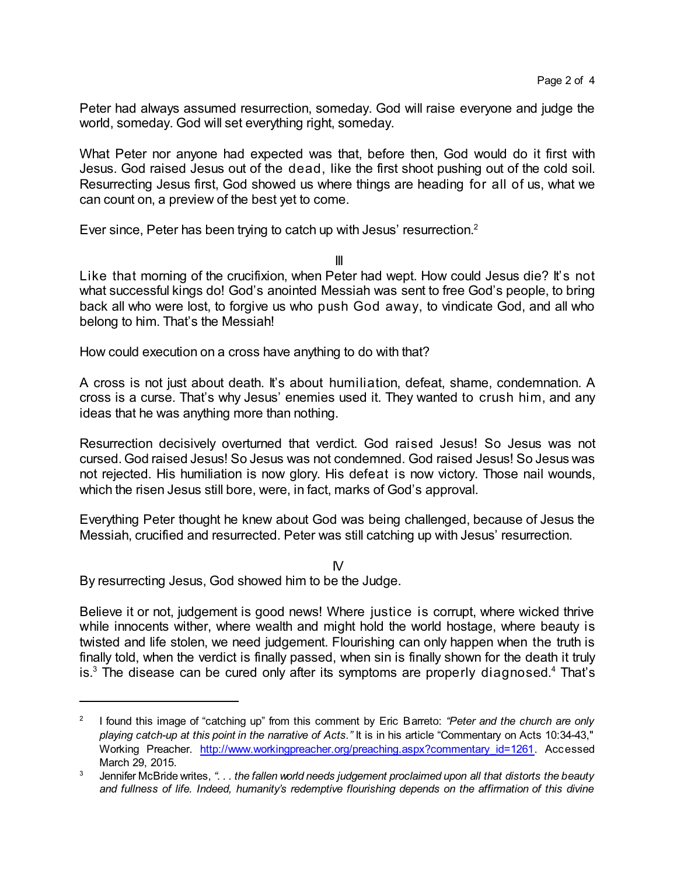Peter had always assumed resurrection, someday. God will raise everyone and judge the world, someday. God will set everything right, someday.

What Peter nor anyone had expected was that, before then, God would do it first with Jesus. God raised Jesus out of the dead, like the first shoot pushing out of the cold soil. Resurrecting Jesus first, God showed us where things are heading for all of us, what we can count on, a preview of the best yet to come.

Ever since, Peter has been trying to catch up with Jesus' resurrection.<sup>2</sup>

III

Like that morning of the crucifixion, when Peter had wept. How could Jesus die? It's not what successful kings do! God's anointed Messiah was sent to free God's people, to bring back all who were lost, to forgive us who push God away, to vindicate God, and all who belong to him. That's the Messiah!

How could execution on a cross have anything to do with that?

A cross is not just about death. It's about humiliation, defeat, shame, condemnation. A cross is a curse. That's why Jesus' enemies used it. They wanted to crush him, and any ideas that he was anything more than nothing.

Resurrection decisively overturned that verdict. God raised Jesus! So Jesus was not cursed. God raised Jesus! So Jesus was not condemned. God raised Jesus! So Jesus was not rejected. His humiliation is now glory. His defeat is now victory. Those nail wounds, which the risen Jesus still bore, were, in fact, marks of God's approval.

Everything Peter thought he knew about God was being challenged, because of Jesus the Messiah, crucified and resurrected. Peter was still catching up with Jesus' resurrection.

IV By resurrecting Jesus, God showed him to be the Judge.

Believe it or not, judgement is good news! Where justice is corrupt, where wicked thrive while innocents wither, where wealth and might hold the world hostage, where beauty is twisted and life stolen, we need judgement. Flourishing can only happen when the truth is finally told, when the verdict is finally passed, when sin is finally shown for the death it truly is. $3$  The disease can be cured only after its symptoms are properly diagnosed.<sup>4</sup> That's

<sup>2</sup> I found this image of "catching up" from this comment by Eric Barreto: *"Peter and the church are only playing catch-up at this point in the narrative of Acts."* It is in his article "Commentary on Acts 10:34-43," Working Preacher. [http://www.workingpreacher.org/preaching.aspx?commentary\\_id=1261](http://www.workingpreacher.org/preaching.aspx?commentary_id=4). Accessed March 29, 2015.

<sup>3</sup> Jennifer McBride writes, *". . . the fallen world needs judgement proclaimed upon all that distorts the beauty and fullness of life. Indeed, humanity's redemptive flourishing depends on the affirmation of this divine*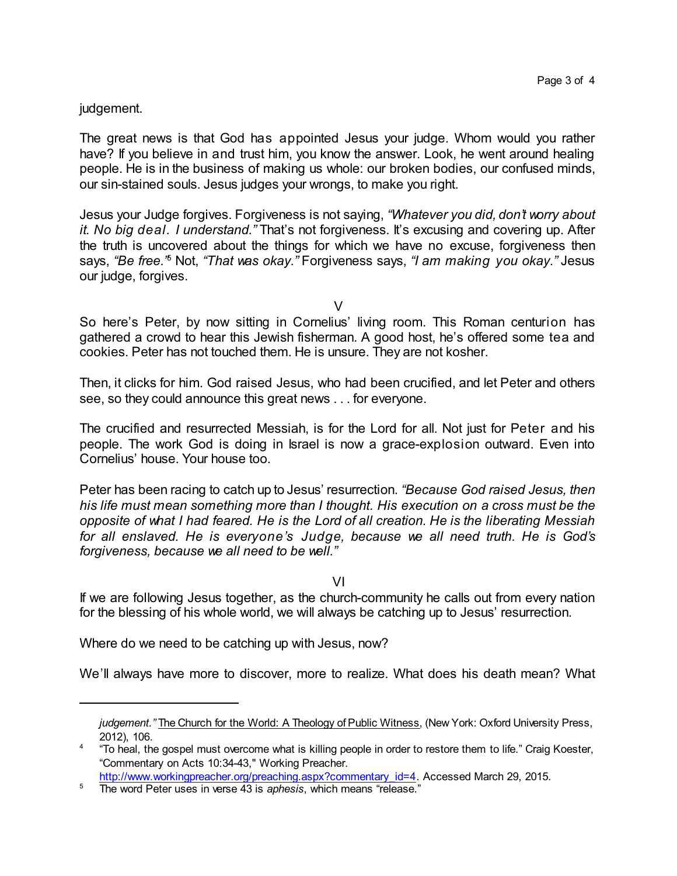## judgement.

The great news is that God has appointed Jesus your judge. Whom would you rather have? If you believe in and trust him, you know the answer. Look, he went around healing people. He is in the business of making us whole: our broken bodies, our confused minds, our sin-stained souls. Jesus judges your wrongs, to make you right.

Jesus your Judge forgives. Forgiveness is not saying, *"Whatever you did, don't worry about it. No big deal. I understand."* That's not forgiveness. It's excusing and covering up. After the truth is uncovered about the things for which we have no excuse, forgiveness then says, *"Be free."* <sup>5</sup> Not, *"That was okay."* Forgiveness says, *"I am making you okay."* Jesus our judge, forgives.

 $\vee$ 

So here's Peter, by now sitting in Cornelius' living room. This Roman centurion has gathered a crowd to hear this Jewish fisherman. A good host, he's offered some tea and cookies. Peter has not touched them. He is unsure. They are not kosher.

Then, it clicks for him. God raised Jesus, who had been crucified, and let Peter and others see, so they could announce this great news . . . for everyone.

The crucified and resurrected Messiah, is for the Lord for all. Not just for Peter and his people. The work God is doing in Israel is now a grace-explosion outward. Even into Cornelius' house. Your house too.

Peter has been racing to catch up to Jesus' resurrection. *"Because God raised Jesus, then his life must mean something more than I thought. His execution on a cross must be the opposite of what I had feared. He is the Lord of all creation. He is the liberating Messiah for all enslaved. He is everyone's Judge, because we all need truth. He is God's forgiveness, because we all need to be well."*

VI

If we are following Jesus together, as the church-community he calls out from every nation for the blessing of his whole world, we will always be catching up to Jesus' resurrection.

Where do we need to be catching up with Jesus, now?

We'll always have more to discover, more to realize. What does his death mean? What

*judgement."* The Church for the World: A Theology of Public Witness, (New York: Oxford University Press, 2012), 106.

<sup>&</sup>lt;sup>4</sup> "To heal, the gospel must overcome what is killing people in order to restore them to life." Craig Koester, "Commentary on Acts 10:34-43," Working Preacher.

[http://www.workingpreacher.org/preaching.aspx?commentary\\_id=4](http://www.workingpreacher.org/preaching.aspx?commentary_id=4). Accessed March 29, 2015.

<sup>5</sup> The word Peter uses in verse 43 is *aphesis*, which means "release."